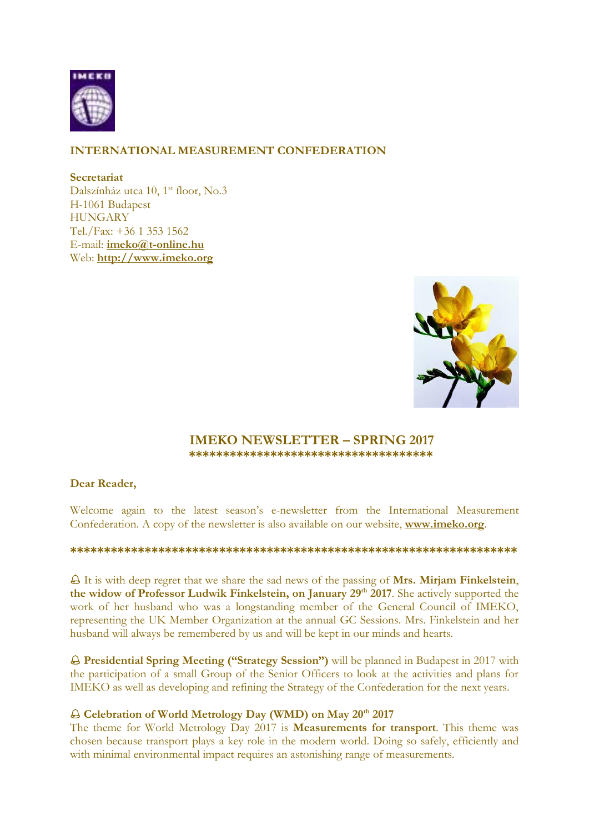

# **INTERNATIONAL MEASUREMENT CONFEDERATION**

**Secretariat**

Dalszínház utca 10, 1<sup>st</sup> floor, No.3 H-1061 Budapest **HUNGARY** Tel./Fax: +36 1 353 1562 E-mail: **[imeko@t-online.hu](mailto:imeko@t-online.hu)** Web: **[http://www.imeko.org](http://www.imeko.org/)**



## **IMEKO NEWSLETTER – SPRING 2017 \*\*\*\*\*\*\*\*\*\*\*\*\*\*\*\*\*\*\*\*\*\*\*\*\*\*\*\*\*\*\*\*\*\*\*\***

## **Dear Reader,**

Welcome again to the latest season's e-newsletter from the International Measurement Confederation. A copy of the newsletter is also available on our website, **[www.imeko.org](http://www.imeko.org/)**.

### **\*\*\*\*\*\*\*\*\*\*\*\*\*\*\*\*\*\*\*\*\*\*\*\*\*\*\*\*\*\*\*\*\*\*\*\*\*\*\*\*\*\*\*\*\*\*\*\*\*\*\*\*\*\*\*\*\*\*\*\*\*\*\*\*\*\***

 It is with deep regret that we share the sad news of the passing of **Mrs. Mirjam Finkelstein**, **the widow of Professor Ludwik Finkelstein, on January 29 th 2017**. She actively supported the work of her husband who was a longstanding member of the General Council of IMEKO, representing the UK Member Organization at the annual GC Sessions. Mrs. Finkelstein and her husband will always be remembered by us and will be kept in our minds and hearts.

 **Presidential Spring Meeting ("Strategy Session")** will be planned in Budapest in 2017 with the participation of a small Group of the Senior Officers to look at the activities and plans for IMEKO as well as developing and refining the Strategy of the Confederation for the next years.

## **Celebration of World Metrology Day (WMD) on May 20th 2017**

The theme for World Metrology Day 2017 is **Measurements for transport**. This theme was chosen because transport plays a key role in the modern world. Doing so safely, efficiently and with minimal environmental impact requires an astonishing range of measurements.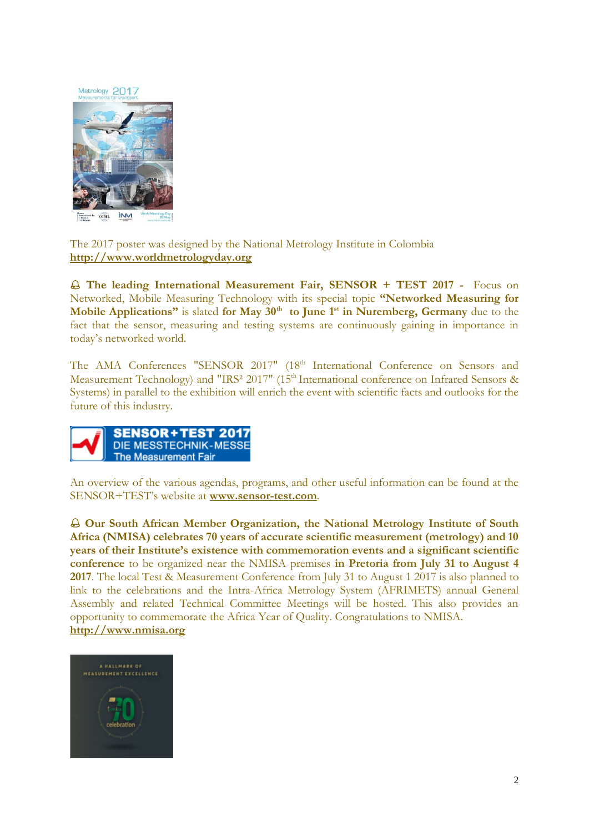Metrology 2017



The 2017 poster was designed by the National Metrology Institute in Colombia **[http://www.worldmetrologyday.org](http://www.worldmetrologyday.org/)**

 **The leading International Measurement Fair, SENSOR + TEST 2017 -** Focus on Networked, Mobile Measuring Technology with its special topic **"Networked Measuring for Mobile Applications"** is slated **for May 30th to June 1st in Nuremberg, Germany** due to the fact that the sensor, measuring and testing systems are continuously gaining in importance in today's networked world.

The AMA Conferences "SENSOR 2017" (18<sup>th</sup> International Conference on Sensors and Measurement Technology) and "IRS<sup>2</sup> 2017" (15<sup>th</sup> International conference on Infrared Sensors & Systems) in parallel to the exhibition will enrich the event with scientific facts and outlooks for the future of this industry.



An overview of the various agendas, programs, and other useful information can be found at the SENSOR+TEST's website at **[www.sensor-test.com](http://www.sensor-test.com/)**.

 **Our South African Member Organization, the National Metrology Institute of South Africa (NMISA) celebrates 70 years of accurate scientific measurement (metrology) and 10 years of their Institute's existence with commemoration events and a significant scientific conference** to be organized near the NMISA premises **in Pretoria from July 31 to August 4 2017**. The local Test & Measurement Conference from July 31 to August 1 2017 is also planned to link to the celebrations and the Intra-Africa Metrology System (AFRIMETS) annual General Assembly and related Technical Committee Meetings will be hosted. This also provides an opportunity to commemorate the Africa Year of Quality. Congratulations to NMISA. **[http://www.nmisa.org](http://www.nmisa.org/)**

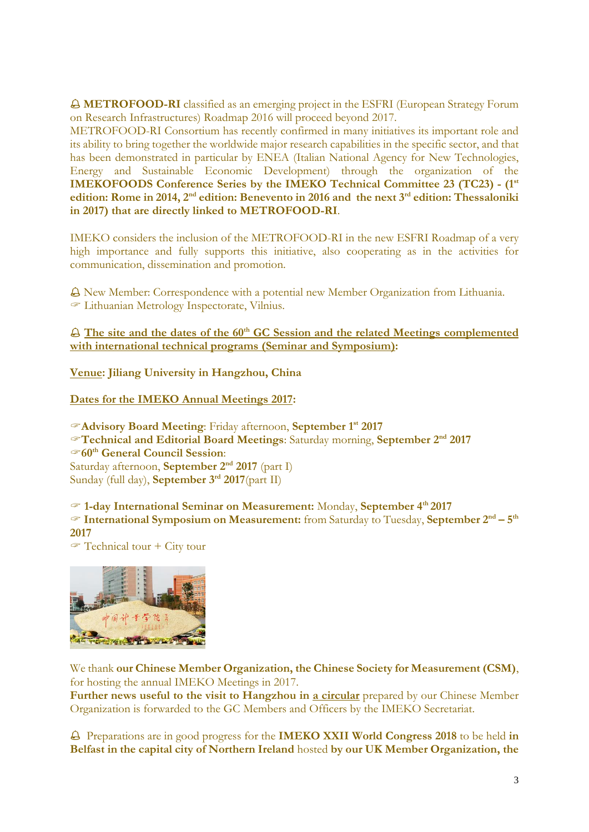**METROFOOD-RI** classified as an emerging project in the ESFRI (European Strategy Forum on Research Infrastructures) Roadmap 2016 will proceed beyond 2017.

METROFOOD-RI Consortium has recently confirmed in many initiatives its important role and its ability to bring together the worldwide major research capabilities in the specific sector, and that has been demonstrated in particular by ENEA (Italian National Agency for New Technologies, Energy and Sustainable Economic Development) through the organization of the **IMEKOFOODS Conference Series by the IMEKO Technical Committee 23 (TC23) - (1st edition: Rome in 2014, 2nd edition: Benevento in 2016 and the next 3rd edition: Thessaloniki in 2017) that are directly linked to METROFOOD-RI**.

IMEKO considers the inclusion of the METROFOOD-RI in the new ESFRI Roadmap of a very high importance and fully supports this initiative, also cooperating as in the activities for communication, dissemination and promotion.

 New Member: Correspondence with a potential new Member Organization from Lithuania. Lithuanian Metrology Inspectorate, Vilnius.

 **The site and the dates of the 60th GC Session and the related Meetings complemented with international technical programs (Seminar and Symposium):**

**Venue: Jiliang University in Hangzhou, China**

**Dates for the IMEKO Annual Meetings 2017:**

**Advisory Board Meeting**: Friday afternoon, **September 1 st 2017 Technical and Editorial Board Meetings**: Saturday morning, **September 2 nd 2017 60th General Council Session**: Saturday afternoon, **September 2nd 2017** (part I) Sunday (full day), **September 3rd 2017**(part II)

 **1-day International Seminar on Measurement:** Monday, **September 4th 2017 International Symposium on Measurement:** from Saturday to Tuesday, **September 2nd – 5 th 2017**

 $\mathcal{F}$  Technical tour + City tour



We thank **our Chinese Member Organization, the Chinese Society for Measurement (CSM)**, for hosting the annual IMEKO Meetings in 2017.

**Further news useful to the visit to Hangzhou in a circular** prepared by our Chinese Member Organization is forwarded to the GC Members and Officers by the IMEKO Secretariat.

 Preparations are in good progress for the **IMEKO XXII World Congress 2018** to be held **in Belfast in the capital city of Northern Ireland** hosted **by our UK Member Organization, the**